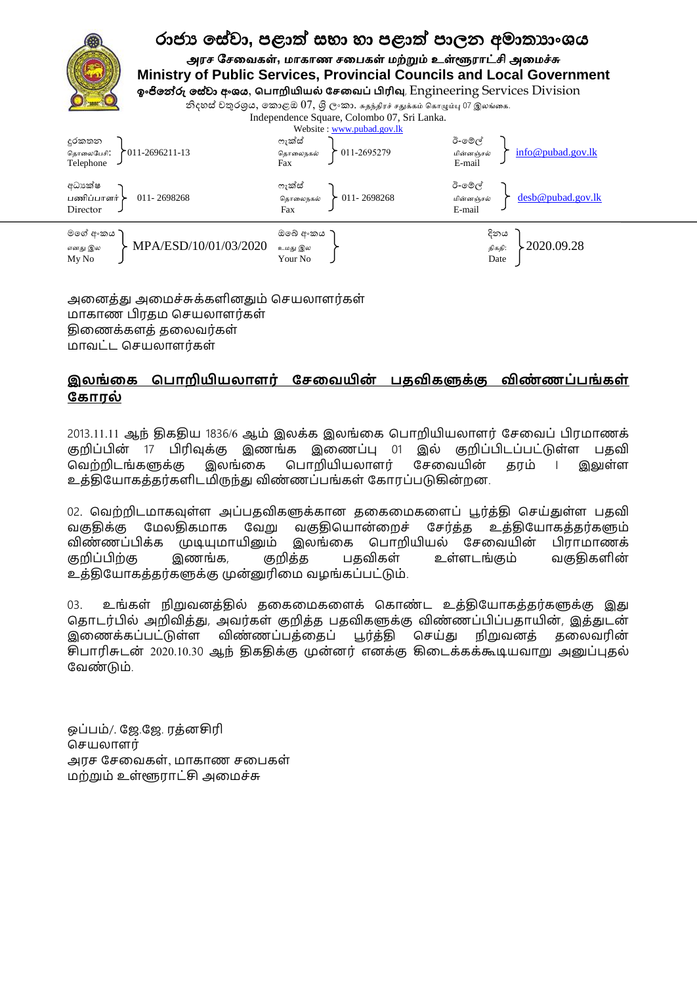

அனைத்து அமைச்சுக்களினதும் செயலாளர்கள் ைாகாணபிரதை சசயலாளர்கள் தினணக்களத்தனலவர்கள் ைாவட்ட சசயலாளர்கள்

## **இலங்வை ப ொறியியலொளர் சேவையின் தவிைளுை்கு விண் ண ் ங்ைள் சைொரல்**

2013.11.11 ஆந் திகதிய 1836/6 ஆம் இலக்க இலங்கை பொறியியலாளர் சேவைப் பிரமாணக் குறிப்பின் 17 பிரிவுக்கு இணங்க இணைப்பு 01 இல் குறிப்பிடப்பட்டுள்ள பகவி வெற்றிடங்களுக்கு இலங்கை பொறியியலாளர் சேவையின் தரம் । இலுள்ள உத்தியோகத்தர்களிடமிருந்து விண்ணப்பங்கள் கோரப்படுகின்றன.

02. வெற்றிடமாகவுள்ள அப்பதவிகளுக்கான தகைமைகளைப் பூர்த்தி செய்துள்ள பதவி வகுகிக்கு மேலதிகமாக வேறு வகுதியொன்றைச் உத்தியோகத்தர்களும் சேர்த்த விண்ணப்பிக்க முடியுமாயினும் இலங்கை பொறியியல் சேவையின் பிராமாணக் குறிப்பிற்கு இணங்க, குறித்த பதவிகள் உள்ளடங்கும் வகுதிகளின் உத்தியோகத்தர்களுக்கு முன்னுரிமை வழங்கப்பட்டும்.

03. உங்கள் நிறுவனத்தில் தகைமைகளைக் கொண்ட உத்தியோகத்தர்களுக்கு இது தொடர்பில் அறிவித்து, அவர்கள் குறித்த பதவிகளுக்கு விண்ணப்பிப்பதாயின், இத்துடன் இணைக்கப்பட்டுள்ள விண்ணப்பத்தைப் பூர்த்தி செய்து நிறுவனத் தலைவரின் சிபாரிசுடன் 2020.10.30 ஆந் திகதிக்கு முன்னர் எனக்கு கிடைக்கக்கூடியவாறு அனுப்புதல் வேண்டும்.

ஒப்பம்/. ஜே.ஜே. ரத்னசிரி செயலாளர் அரச சேவைகள், மாகாண சபைகள் ைற்றுை் உள்ளூராட்சி அனைச்சு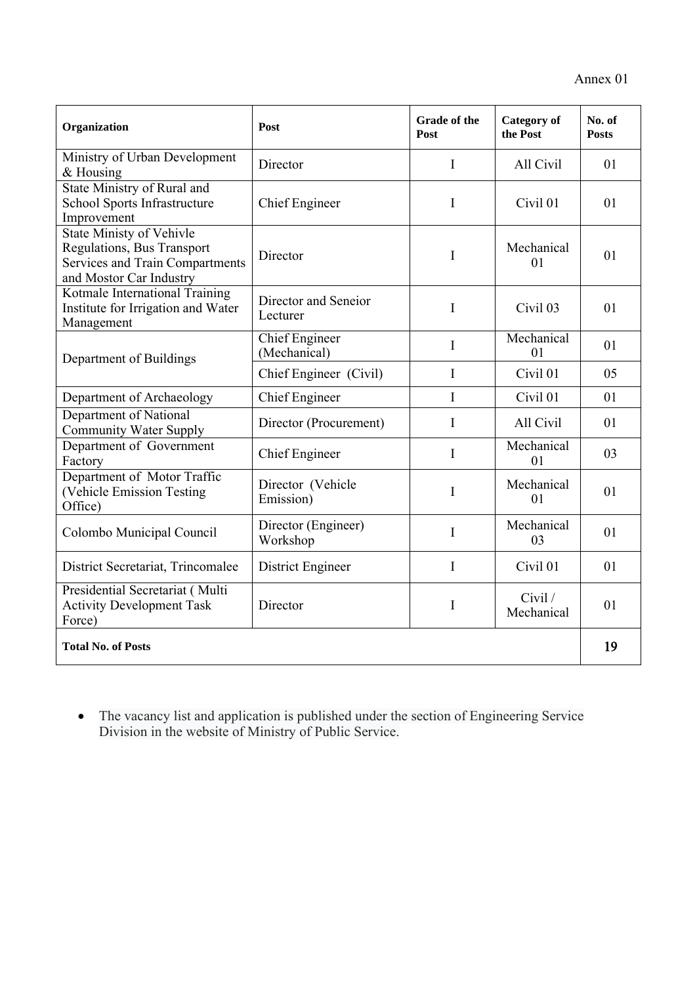| Organization                                                                                                                | Post                                  | Grade of the<br>Post | <b>Category</b> of<br>the Post | No. of<br><b>Posts</b> |
|-----------------------------------------------------------------------------------------------------------------------------|---------------------------------------|----------------------|--------------------------------|------------------------|
| Ministry of Urban Development<br>$&$ Housing                                                                                | Director                              | I                    | All Civil                      | 01                     |
| State Ministry of Rural and<br>School Sports Infrastructure<br>Improvement                                                  | <b>Chief Engineer</b>                 | I                    | Civil 01                       | 01                     |
| <b>State Ministy of Vehivle</b><br>Regulations, Bus Transport<br>Services and Train Compartments<br>and Mostor Car Industry | Director                              | I                    | Mechanical<br>0 <sub>1</sub>   | 01                     |
| Kotmale International Training<br>Institute for Irrigation and Water<br>Management                                          | Director and Seneior<br>Lecturer      | $\mathbf I$          | Civil 03                       | 01                     |
| Department of Buildings                                                                                                     | <b>Chief Engineer</b><br>(Mechanical) | $\mathbf I$          | Mechanical<br>01               | 01                     |
|                                                                                                                             | Chief Engineer (Civil)                | I                    | Civil 01                       | 05                     |
| Department of Archaeology                                                                                                   | <b>Chief Engineer</b>                 | $\mathbf I$          | Civil 01                       | 01                     |
| Department of National<br><b>Community Water Supply</b>                                                                     | Director (Procurement)                | I                    | All Civil                      | 01                     |
| Department of Government<br>Factory                                                                                         | <b>Chief Engineer</b>                 | $\mathbf I$          | Mechanical<br>0 <sub>1</sub>   | 03                     |
| Department of Motor Traffic<br>(Vehicle Emission Testing<br>Office)                                                         | Director (Vehicle<br>Emission)        | I                    | Mechanical<br>01               | 01                     |
| Colombo Municipal Council                                                                                                   | Director (Engineer)<br>Workshop       | I                    | Mechanical<br>03               | 01                     |
| District Secretariat, Trincomalee                                                                                           | <b>District Engineer</b>              | I                    | Civil 01                       | 01                     |
| Presidential Secretariat (Multi<br><b>Activity Development Task</b><br>Force)                                               | Director                              | I                    | Civil /<br>Mechanical          | 01                     |
| <b>Total No. of Posts</b>                                                                                                   |                                       |                      |                                | 19                     |

 The vacancy list and application is published under the section of Engineering Service Division in the website of Ministry of Public Service.